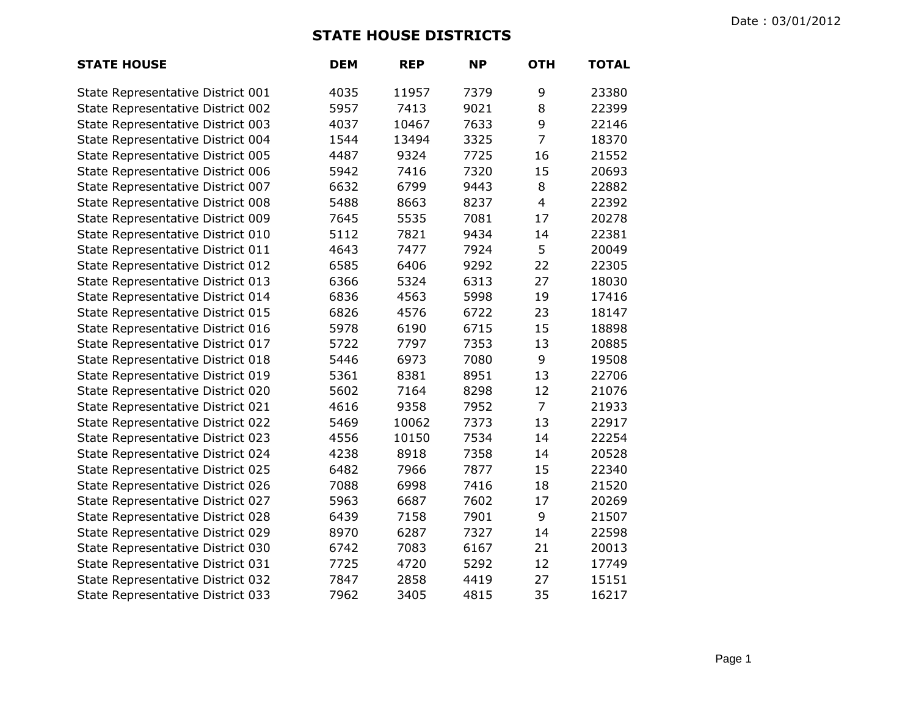## **STATE HOUSE DISTRICTS**

| <b>STATE HOUSE</b>                | <b>DEM</b> | <b>REP</b> | <b>NP</b> | <b>OTH</b>     | <b>TOTAL</b> |
|-----------------------------------|------------|------------|-----------|----------------|--------------|
| State Representative District 001 | 4035       | 11957      | 7379      | 9              | 23380        |
| State Representative District 002 | 5957       | 7413       | 9021      | 8              | 22399        |
| State Representative District 003 | 4037       | 10467      | 7633      | 9              | 22146        |
| State Representative District 004 | 1544       | 13494      | 3325      | $\overline{7}$ | 18370        |
| State Representative District 005 | 4487       | 9324       | 7725      | 16             | 21552        |
| State Representative District 006 | 5942       | 7416       | 7320      | 15             | 20693        |
| State Representative District 007 | 6632       | 6799       | 9443      | 8              | 22882        |
| State Representative District 008 | 5488       | 8663       | 8237      | $\overline{4}$ | 22392        |
| State Representative District 009 | 7645       | 5535       | 7081      | 17             | 20278        |
| State Representative District 010 | 5112       | 7821       | 9434      | 14             | 22381        |
| State Representative District 011 | 4643       | 7477       | 7924      | 5              | 20049        |
| State Representative District 012 | 6585       | 6406       | 9292      | 22             | 22305        |
| State Representative District 013 | 6366       | 5324       | 6313      | 27             | 18030        |
| State Representative District 014 | 6836       | 4563       | 5998      | 19             | 17416        |
| State Representative District 015 | 6826       | 4576       | 6722      | 23             | 18147        |
| State Representative District 016 | 5978       | 6190       | 6715      | 15             | 18898        |
| State Representative District 017 | 5722       | 7797       | 7353      | 13             | 20885        |
| State Representative District 018 | 5446       | 6973       | 7080      | 9              | 19508        |
| State Representative District 019 | 5361       | 8381       | 8951      | 13             | 22706        |
| State Representative District 020 | 5602       | 7164       | 8298      | 12             | 21076        |
| State Representative District 021 | 4616       | 9358       | 7952      | $\overline{7}$ | 21933        |
| State Representative District 022 | 5469       | 10062      | 7373      | 13             | 22917        |
| State Representative District 023 | 4556       | 10150      | 7534      | 14             | 22254        |
| State Representative District 024 | 4238       | 8918       | 7358      | 14             | 20528        |
| State Representative District 025 | 6482       | 7966       | 7877      | 15             | 22340        |
| State Representative District 026 | 7088       | 6998       | 7416      | 18             | 21520        |
| State Representative District 027 | 5963       | 6687       | 7602      | 17             | 20269        |
| State Representative District 028 | 6439       | 7158       | 7901      | 9              | 21507        |
| State Representative District 029 | 8970       | 6287       | 7327      | 14             | 22598        |
| State Representative District 030 | 6742       | 7083       | 6167      | 21             | 20013        |
| State Representative District 031 | 7725       | 4720       | 5292      | 12             | 17749        |
| State Representative District 032 | 7847       | 2858       | 4419      | 27             | 15151        |
| State Representative District 033 | 7962       | 3405       | 4815      | 35             | 16217        |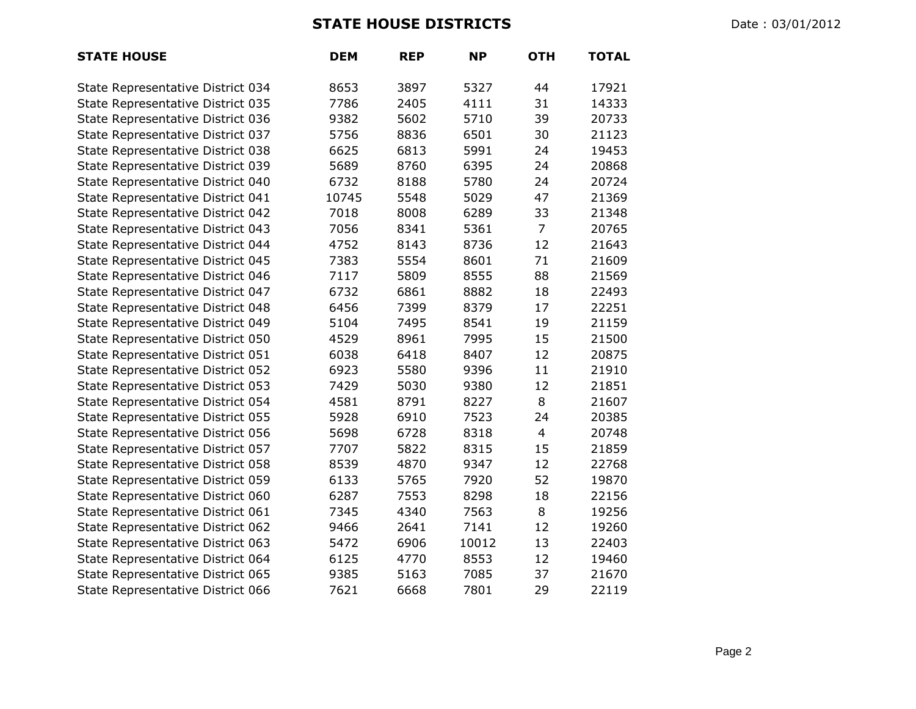## **STATE HOUSE DISTRICTS** Date : 03/01/2012

| <b>STATE HOUSE</b>                | <b>DEM</b> | <b>REP</b> | <b>NP</b> | <b>OTH</b>              | <b>TOTAL</b> |
|-----------------------------------|------------|------------|-----------|-------------------------|--------------|
| State Representative District 034 | 8653       | 3897       | 5327      | 44                      | 17921        |
| State Representative District 035 | 7786       | 2405       | 4111      | 31                      | 14333        |
| State Representative District 036 | 9382       | 5602       | 5710      | 39                      | 20733        |
| State Representative District 037 | 5756       | 8836       | 6501      | 30                      | 21123        |
| State Representative District 038 | 6625       | 6813       | 5991      | 24                      | 19453        |
| State Representative District 039 | 5689       | 8760       | 6395      | 24                      | 20868        |
| State Representative District 040 | 6732       | 8188       | 5780      | 24                      | 20724        |
| State Representative District 041 | 10745      | 5548       | 5029      | 47                      | 21369        |
| State Representative District 042 | 7018       | 8008       | 6289      | 33                      | 21348        |
| State Representative District 043 | 7056       | 8341       | 5361      | $\overline{7}$          | 20765        |
| State Representative District 044 | 4752       | 8143       | 8736      | 12                      | 21643        |
| State Representative District 045 | 7383       | 5554       | 8601      | 71                      | 21609        |
| State Representative District 046 | 7117       | 5809       | 8555      | 88                      | 21569        |
| State Representative District 047 | 6732       | 6861       | 8882      | 18                      | 22493        |
| State Representative District 048 | 6456       | 7399       | 8379      | 17                      | 22251        |
| State Representative District 049 | 5104       | 7495       | 8541      | 19                      | 21159        |
| State Representative District 050 | 4529       | 8961       | 7995      | 15                      | 21500        |
| State Representative District 051 | 6038       | 6418       | 8407      | 12                      | 20875        |
| State Representative District 052 | 6923       | 5580       | 9396      | 11                      | 21910        |
| State Representative District 053 | 7429       | 5030       | 9380      | 12                      | 21851        |
| State Representative District 054 | 4581       | 8791       | 8227      | 8                       | 21607        |
| State Representative District 055 | 5928       | 6910       | 7523      | 24                      | 20385        |
| State Representative District 056 | 5698       | 6728       | 8318      | $\overline{\mathbf{4}}$ | 20748        |
| State Representative District 057 | 7707       | 5822       | 8315      | 15                      | 21859        |
| State Representative District 058 | 8539       | 4870       | 9347      | 12                      | 22768        |
| State Representative District 059 | 6133       | 5765       | 7920      | 52                      | 19870        |
| State Representative District 060 | 6287       | 7553       | 8298      | 18                      | 22156        |
| State Representative District 061 | 7345       | 4340       | 7563      | 8                       | 19256        |
| State Representative District 062 | 9466       | 2641       | 7141      | 12                      | 19260        |
| State Representative District 063 | 5472       | 6906       | 10012     | 13                      | 22403        |
| State Representative District 064 | 6125       | 4770       | 8553      | 12                      | 19460        |
| State Representative District 065 | 9385       | 5163       | 7085      | 37                      | 21670        |
| State Representative District 066 | 7621       | 6668       | 7801      | 29                      | 22119        |